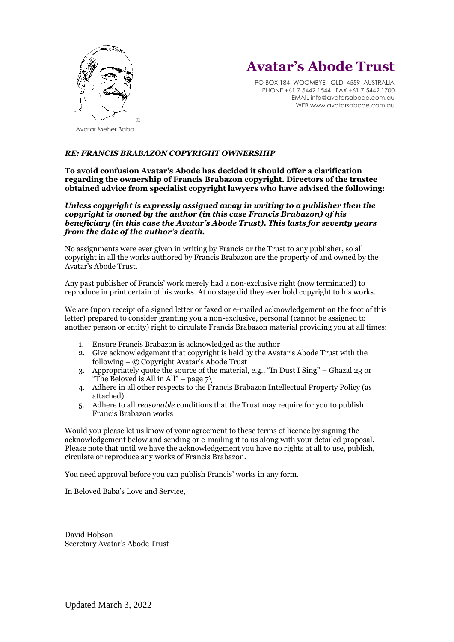

## **Avatar's Abode Trust**

PO BOX 184 WOOMBYE QLD 4559 AUSTRALIA PHONE +61 7 5442 1544 FAX +61 7 5442 1700 EMAIL info@avatarsabode.com.au WEB www.avatarsabode.com.au

## *RE: FRANCIS BRABAZON COPYRIGHT OWNERSHIP*

## **To avoid confusion Avatar's Abode has decided it should offer a clarification regarding the ownership of Francis Brabazon copyright. Directors of the trustee obtained advice from specialist copyright lawyers who have advised the following:**

*Unless copyright is expressly assigned away in writing to a publisher then the copyright is owned by the author (in this case Francis Brabazon) of his beneficiary (in this case the Avatar's Abode Trust). This lasts for seventy years from the date of the author's death.*

No assignments were ever given in writing by Francis or the Trust to any publisher, so all copyright in all the works authored by Francis Brabazon are the property of and owned by the Avatar's Abode Trust.

Any past publisher of Francis' work merely had a non-exclusive right (now terminated) to reproduce in print certain of his works. At no stage did they ever hold copyright to his works.

We are (upon receipt of a signed letter or faxed or e-mailed acknowledgement on the foot of this letter) prepared to consider granting you a non-exclusive, personal (cannot be assigned to another person or entity) right to circulate Francis Brabazon material providing you at all times:

- 1. Ensure Francis Brabazon is acknowledged as the author
- 2. Give acknowledgement that copyright is held by the Avatar's Abode Trust with the following – © Copyright Avatar's Abode Trust
- 3. Appropriately quote the source of the material, e.g., "In Dust I Sing" Ghazal 23 or "The Beloved is All in All" – page  $7\backslash$
- 4. Adhere in all other respects to the Francis Brabazon Intellectual Property Policy (as attached)
- 5. Adhere to all *reasonable* conditions that the Trust may require for you to publish Francis Brabazon works

Would you please let us know of your agreement to these terms of licence by signing the acknowledgement below and sending or e-mailing it to us along with your detailed proposal. Please note that until we have the acknowledgement you have no rights at all to use, publish, circulate or reproduce any works of Francis Brabazon.

You need approval before you can publish Francis' works in any form.

In Beloved Baba's Love and Service,

David Hobson Secretary Avatar's Abode Trust